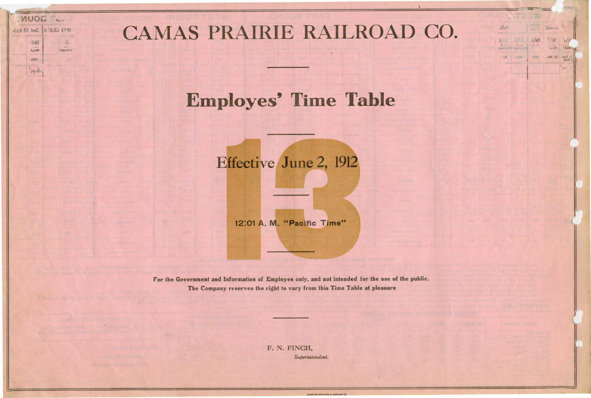## CAMAS PRAIRIE RAILROAD CO.

IVIUOE TL.

UNST CLASS | 2nd CLASS

 $\delta$ 1850425

 $366$ 

baxiM

Daily

 $\frac{1}{2}$   $\frac{1}{2}$   $\frac{1}{2}$   $\frac{1}{2}$ 

## **Employes' Time Table**

Effective June 2, 1912

12:01 A. M. "Pacific Time"

For the Government and Information of Employes only, and not intended for the use of the public. The Company reserves the right to vary from this Time Table at pleasure

> F. N. FINCH, Superintendent.